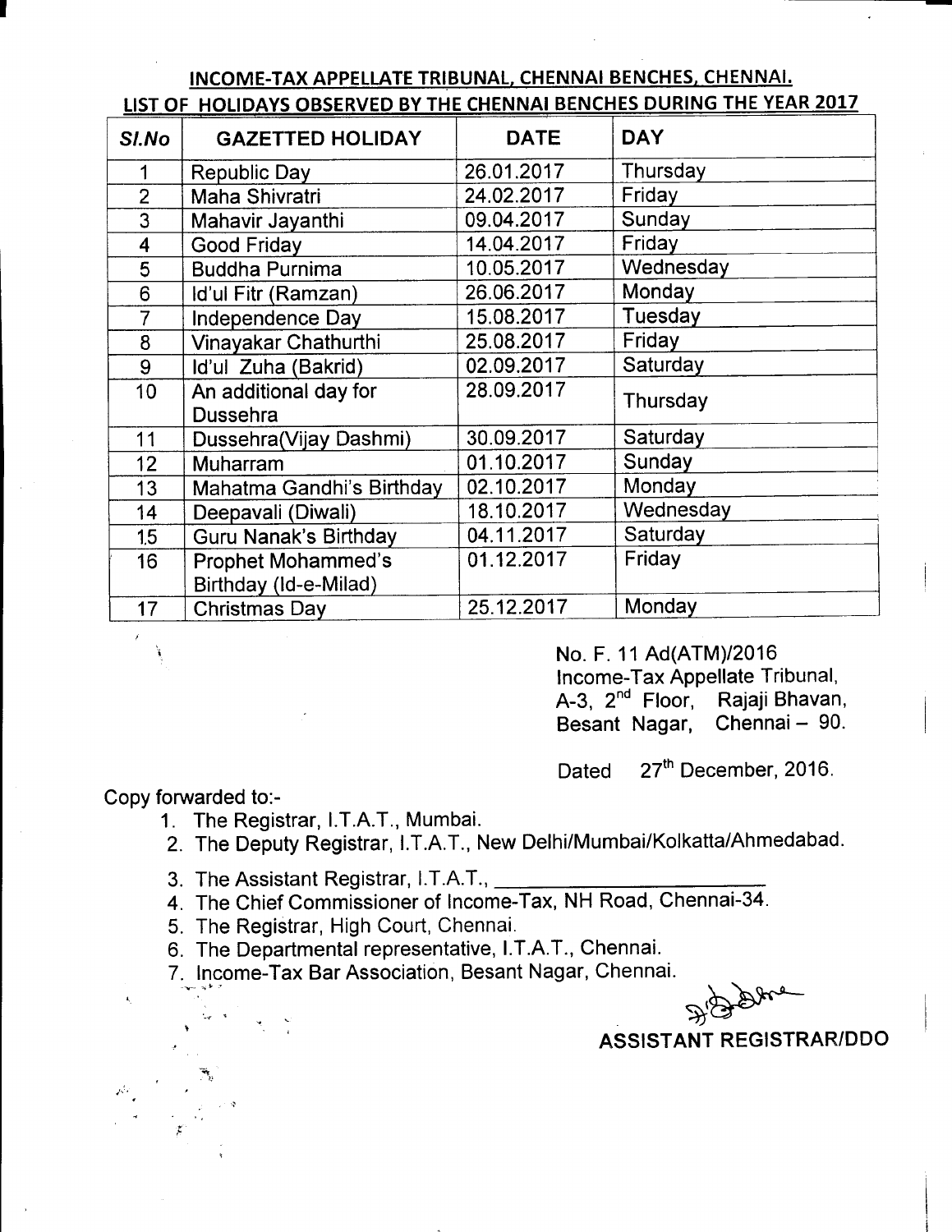|  | INCOME-TAX APPELLATE TRIBUNAL, CHENNAI BENCHES, CHENNAI.              |  |  |  |
|--|-----------------------------------------------------------------------|--|--|--|
|  | LIST OF HOLIDAYS OBSERVED BY THE CHENNAI BENCHES DURING THE YEAR 2017 |  |  |  |

| SI.No                   | <b>GAZETTED HOLIDAY</b>      | <b>DATE</b> | <b>DAY</b> |  |
|-------------------------|------------------------------|-------------|------------|--|
| 1                       | <b>Republic Day</b>          | 26.01.2017  | Thursday   |  |
| $\overline{2}$          | Maha Shivratri               | 24.02.2017  | Friday     |  |
| 3                       | Mahavir Jayanthi             | 09.04.2017  | Sunday     |  |
| $\overline{\mathbf{4}}$ | Good Friday                  | 14.04.2017  | Friday     |  |
| 5                       | <b>Buddha Purnima</b>        | 10.05.2017  | Wednesday  |  |
| 6                       | Id'ul Fitr (Ramzan)          | 26.06.2017  | Monday     |  |
| 7                       | Independence Day             | 15.08.2017  | Tuesday    |  |
| 8                       | Vinayakar Chathurthi         | 25.08.2017  | Friday     |  |
| 9                       | Id'ul Zuha (Bakrid)          | 02.09.2017  | Saturday   |  |
| 10                      | An additional day for        | 28.09.2017  | Thursday   |  |
|                         | Dussehra                     |             |            |  |
| 11                      | Dussehra(Vijay Dashmi)       | 30.09.2017  | Saturday   |  |
| 12                      | <b>Muharram</b>              | 01.10.2017  | Sunday     |  |
| 13                      | Mahatma Gandhi's Birthday    | 02.10.2017  | Monday     |  |
| 14                      | Deepavali (Diwali)           | 18.10.2017  | Wednesday  |  |
| 1.5                     | <b>Guru Nanak's Birthday</b> | 04.11.2017  | Saturday   |  |
| 16                      | <b>Prophet Mohammed's</b>    | 01.12.2017  | Friday     |  |
|                         | Birthday (Id-e-Milad)        |             |            |  |
| 17                      | <b>Christmas Day</b>         | 25.12.2017  | Monday     |  |

No. F. 11 Ad(ATM)/2016 lncome-Tax Appellate Tribunal, A-3, 2<sup>nd</sup> Floor, Rajaji Bhavan, Besant Nagar, Chennai - 90.

Dated 27<sup>th</sup> December, 2016.

Copy forwarded to:-

Jil

?

.<br>T

- 1. The Registrar, l.T.A.T., Mumbai.
- 2. The Deputy Registrar, l.T.A.T., New Delhi/Mumbai/Kolkatta/Ahmedabad.
- 3. The Assistant Registrar, l.T.A.T.,
- 4. The Chief Commissioner of lncome-Tax, NH Road, Chennai-34.
- 5. The Registrar, High Court, Chennai.
- 6. The Departmental representative, I.T.A.T., Chennai.

7. Income-Tax Bar Association, Besant Nagar, Chennai.

 $D_{\rm B}$ 

ASSISTANT REGISTRAR/DDO